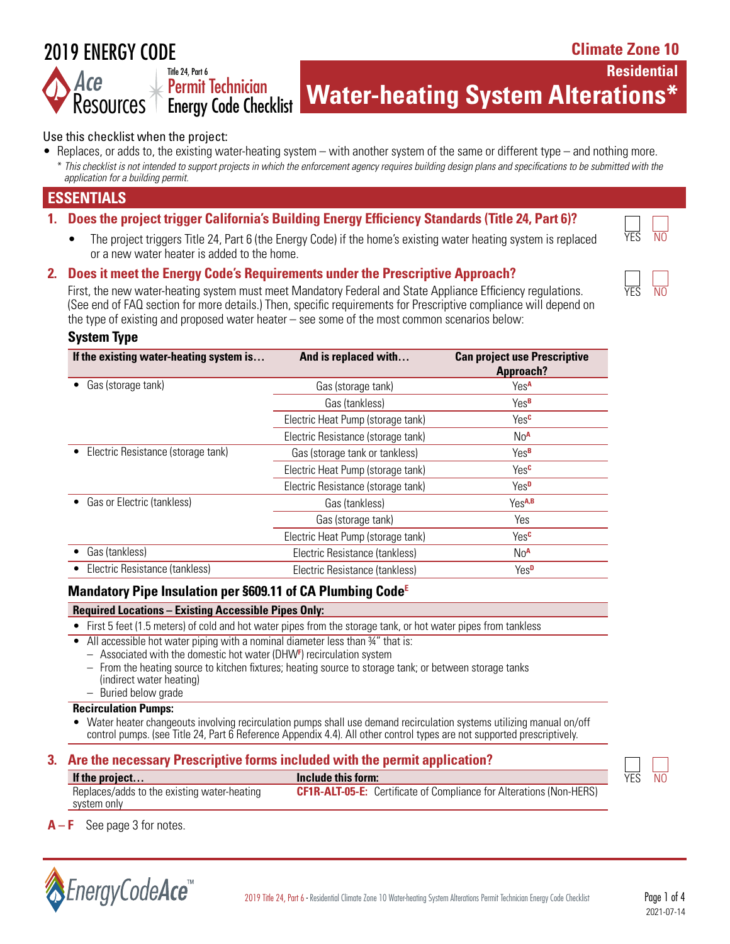# 2019 ENERGY CODE

Resources<sup>1</sup>

**Climate Zone 10**

**Residential** 

**Water-heating System Alterations\*** Permit Technician Energy Code Checklist

#### Use this checklist when the project:

Title 24, Part 6

• Replaces, or adds to, the existing water-heating system – with another system of the same or different type – and nothing more. \* *This checklist is not intended to support projects in which the enforcement agency requires building design plans and specifications to be submitted with the application for a building permit.*

## **ESSENTIALS**

#### **1. Does the project trigger California's Building Energy Efficiency Standards (Title 24, Part 6)?**

The project triggers Title 24, Part 6 (the Energy Code) if the home's existing water heating system is replaced or a new water heater is added to the home.

#### **2. Does it meet the Energy Code's Requirements under the Prescriptive Approach?**

First, the new water-heating system must meet Mandatory Federal and State Appliance Efficiency regulations. (See end of FAQ section for more details.) Then, specific requirements for Prescriptive compliance will depend on the type of existing and proposed water heater – see some of the most common scenarios below:

#### **System Type**

| If the existing water-heating system is | And is replaced with               | <b>Can project use Prescriptive</b><br><b>Approach?</b> |
|-----------------------------------------|------------------------------------|---------------------------------------------------------|
| Gas (storage tank)                      | Gas (storage tank)                 | Yes <sup>A</sup>                                        |
|                                         | Gas (tankless)                     | Yes <sup>B</sup>                                        |
|                                         | Electric Heat Pump (storage tank)  | Yes <sup>c</sup>                                        |
|                                         | Electric Resistance (storage tank) | No <sup>A</sup>                                         |
| Electric Resistance (storage tank)      | Gas (storage tank or tankless)     | Yes <sup>B</sup>                                        |
|                                         | Electric Heat Pump (storage tank)  | Yes <sup>c</sup>                                        |
|                                         | Electric Resistance (storage tank) | Yes <sup>D</sup>                                        |
| Gas or Electric (tankless)              | Gas (tankless)                     | Y <sub>PS</sub> A,B                                     |
|                                         | Gas (storage tank)                 | Yes                                                     |
|                                         | Electric Heat Pump (storage tank)  | Yes <sup>c</sup>                                        |
| Gas (tankless)                          | Electric Resistance (tankless)     | No <sup>A</sup>                                         |
| Electric Resistance (tankless)          | Electric Resistance (tankless)     | Yes <sup>D</sup>                                        |
|                                         |                                    |                                                         |

#### **Mandatory Pipe Insulation per §609.11 of CA Plumbing CodeE**

#### **Required Locations – Existing Accessible Pipes Only:**

- First 5 feet (1.5 meters) of cold and hot water pipes from the storage tank, or hot water pipes from tankless
- All accessible hot water piping with a nominal diameter less than 34" that is:
	- Associated with the domestic hot water (DHW**<sup>F</sup>** ) recirculation system
	- From the heating source to kitchen fixtures; heating source to storage tank; or between storage tanks (indirect water heating) – Buried below grade

## **Recirculation Pumps:**

• Water heater changeouts involving recirculation pumps shall use demand recirculation systems utilizing manual on/off control pumps. (see Title 24, Part 6 Reference Appendix 4.4). All other control types are not supported prescriptively.

# **3. Are the necessary Prescriptive forms included with the permit application?**

| If the project                              | Include this form:                                                         | YES | N0 |
|---------------------------------------------|----------------------------------------------------------------------------|-----|----|
| Replaces/adds to the existing water-heating | <b>CF1R-ALT-05-E:</b> Certificate of Compliance for Alterations (Non-HERS) |     |    |
| system only                                 |                                                                            |     |    |



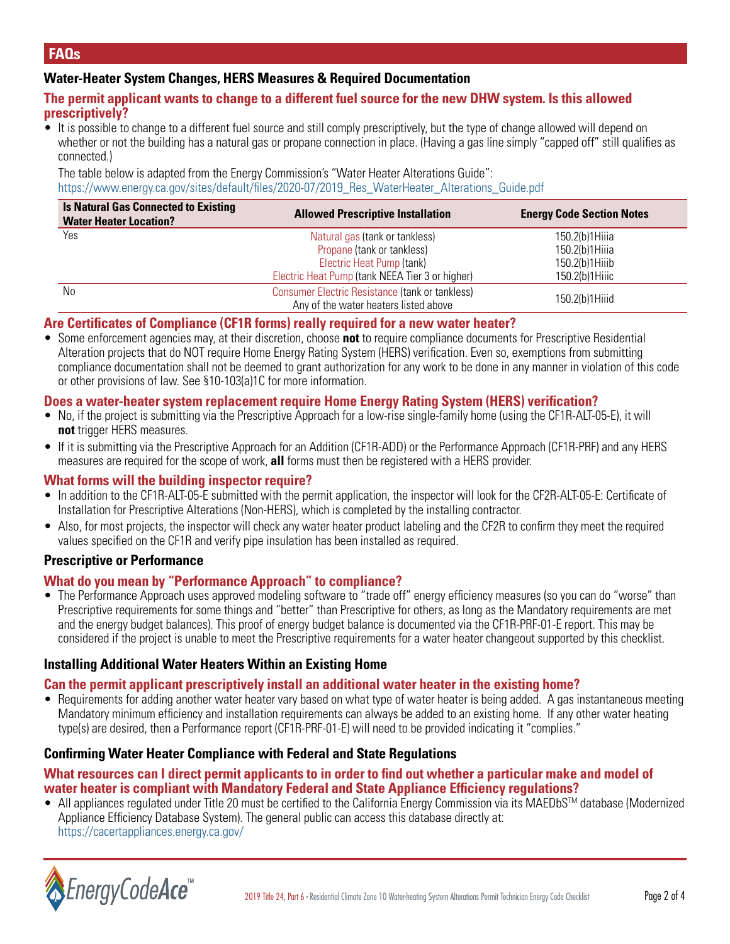#### **Water-Heater System Changes, HERS Measures & Required Documentation**

#### **The permit applicant wants to change to a different fuel source for the new DHW system. Is this allowed prescriptively?**

• It is possible to change to a different fuel source and still comply prescriptively, but the type of change allowed will depend on whether or not the building has a natural gas or propane connection in place. (Having a gas line simply "capped off" still qualifies as connected.)

The table below is adapted from the Energy Commission's "Water Heater Alterations Guide": https://www.energy.ca.gov/sites/default/files/2020-07/2019 Res\_WaterHeater\_Alterations\_Guide.pdf

| <b>Is Natural Gas Connected to Existing</b><br><b>Water Heater Location?</b> | <b>Allowed Prescriptive Installation</b>                                                 | <b>Energy Code Section Notes</b> |
|------------------------------------------------------------------------------|------------------------------------------------------------------------------------------|----------------------------------|
| Yes                                                                          | Natural gas (tank or tankless)                                                           | 150.2(b)1Hiiia                   |
|                                                                              | Propane (tank or tankless)                                                               | 150.2(b)1Hiiia                   |
|                                                                              | Electric Heat Pump (tank)                                                                | 150.2(b)1Hiiib                   |
|                                                                              | Electric Heat Pump (tank NEEA Tier 3 or higher)                                          | 150.2(b)1Hiiic                   |
| N <sub>0</sub>                                                               | Consumer Electric Resistance (tank or tankless)<br>Any of the water heaters listed above | 150.2(b)1Hiiid                   |

#### **Are Certificates of Compliance (CF1R forms) really required for a new water heater?**

• Some enforcement agencies may, at their discretion, choose **not** to require compliance documents for Prescriptive Residential Alteration projects that do NOT require Home Energy Rating System (HERS) verification. Even so, exemptions from submitting compliance documentation shall not be deemed to grant authorization for any work to be done in any manner in violation of this code or other provisions of law. See §10-103(a)1C for more information.

#### **Does a water-heater system replacement require Home Energy Rating System (HERS) verification?**

- No, if the project is submitting via the Prescriptive Approach for a low-rise single-family home (using the CF1R-ALT-05-E), it will **not** trigger HERS measures.
- If it is submitting via the Prescriptive Approach for an Addition (CF1R-ADD) or the Performance Approach (CF1R-PRF) and any HERS measures are required for the scope of work, **all** forms must then be registered with a HERS provider.

#### **What forms will the building inspector require?**

- In addition to the CF1R-ALT-05-E submitted with the permit application, the inspector will look for the CF2R-ALT-05-E: Certificate of Installation for Prescriptive Alterations (Non-HERS), which is completed by the installing contractor.
- Also, for most projects, the inspector will check any water heater product labeling and the CF2R to confirm they meet the required values specified on the CF1R and verify pipe insulation has been installed as required.

#### **Prescriptive or Performance**

#### **What do you mean by "Performance Approach" to compliance?**

• The Performance Approach uses approved modeling software to "trade off" energy efficiency measures (so you can do "worse" than Prescriptive requirements for some things and "better" than Prescriptive for others, as long as the Mandatory requirements are met and the energy budget balances). This proof of energy budget balance is documented via the CF1R-PRF-01-E report. This may be considered if the project is unable to meet the Prescriptive requirements for a water heater changeout supported by this checklist.

#### **Installing Additional Water Heaters Within an Existing Home**

#### **Can the permit applicant prescriptively install an additional water heater in the existing home?**

• Requirements for adding another water heater vary based on what type of water heater is being added. A gas instantaneous meeting Mandatory minimum efficiency and installation requirements can always be added to an existing home. If any other water heating type(s) are desired, then a Performance report (CF1R-PRF-01-E) will need to be provided indicating it "complies."

#### **Confirming Water Heater Compliance with Federal and State Regulations**

#### **What resources can I direct permit applicants to in order to find out whether a particular make and model of water heater is compliant with Mandatory Federal and State Appliance Efficiency regulations?**

 $\bullet$  All appliances regulated under Title 20 must be certified to the California Energy Commission via its MAEDbS<sup>TM</sup> database (Modernized Appliance Efficiency Database System). The general public can access this database directly at: <https://cacertappliances.energy.ca.gov/>

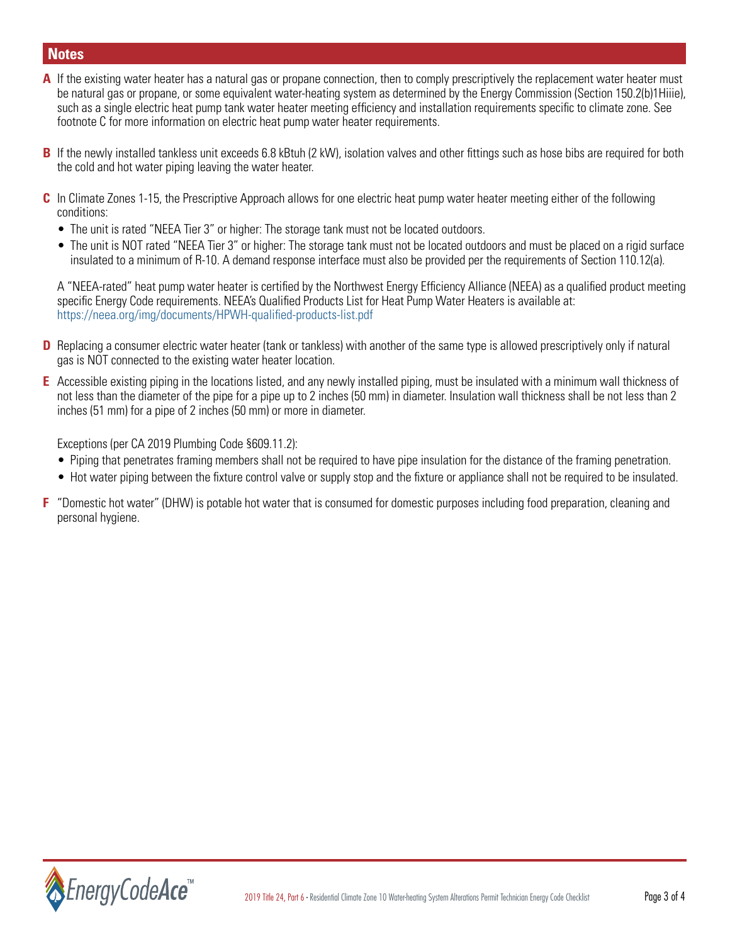# **Notes**

- **A** If the existing water heater has a natural gas or propane connection, then to comply prescriptively the replacement water heater must be natural gas or propane, or some equivalent water-heating system as determined by the Energy Commission (Section 150.2(b)1Hiiie), such as a single electric heat pump tank water heater meeting efficiency and installation requirements specific to climate zone. See footnote C for more information on electric heat pump water heater requirements.
- **B** If the newly installed tankless unit exceeds 6.8 kBtuh (2 kW), isolation valves and other fittings such as hose bibs are required for both the cold and hot water piping leaving the water heater.
- **C** In Climate Zones 1-15, the Prescriptive Approach allows for one electric heat pump water heater meeting either of the following conditions:
	- The unit is rated "NEEA Tier 3" or higher: The storage tank must not be located outdoors.
	- The unit is NOT rated "NEEA Tier 3" or higher: The storage tank must not be located outdoors and must be placed on a rigid surface insulated to a minimum of R-10. A demand response interface must also be provided per the requirements of Section 110.12(a).

A "NEEA-rated" heat pump water heater is certified by the Northwest Energy Efficiency Alliance (NEEA) as a qualified product meeting specific Energy Code requirements. NEEA's Qualified Products List for Heat Pump Water Heaters is available at: <https://neea.org/img/documents/HPWH-qualified-products-list.pdf>

- **D** Replacing a consumer electric water heater (tank or tankless) with another of the same type is allowed prescriptively only if natural gas is NOT connected to the existing water heater location.
- **E** Accessible existing piping in the locations listed, and any newly installed piping, must be insulated with a minimum wall thickness of not less than the diameter of the pipe for a pipe up to 2 inches (50 mm) in diameter. Insulation wall thickness shall be not less than 2 inches (51 mm) for a pipe of 2 inches (50 mm) or more in diameter.

Exceptions (per CA 2019 Plumbing Code §609.11.2):

- Piping that penetrates framing members shall not be required to have pipe insulation for the distance of the framing penetration.
- Hot water piping between the fixture control valve or supply stop and the fixture or appliance shall not be required to be insulated.
- **F** "Domestic hot water" (DHW) is potable hot water that is consumed for domestic purposes including food preparation, cleaning and personal hygiene.